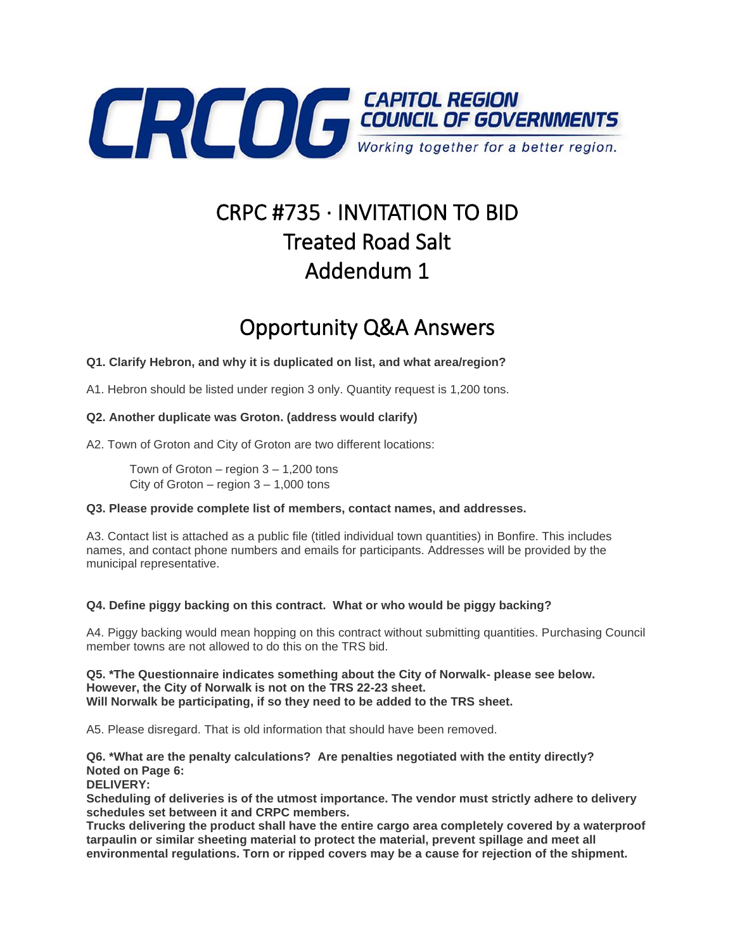

# CRPC #735 · INVITATION TO BID Treated Road Salt Addendum 1

## Opportunity Q&A Answers

#### **Q1. Clarify Hebron, and why it is duplicated on list, and what area/region?**

A1. Hebron should be listed under region 3 only. Quantity request is 1,200 tons.

#### **Q2. Another duplicate was Groton. (address would clarify)**

A2. Town of Groton and City of Groton are two different locations:

Town of Groton  $-$  region  $3 - 1,200$  tons City of Groton – region  $3 - 1,000$  tons

#### **Q3. Please provide complete list of members, contact names, and addresses.**

A3. Contact list is attached as a public file (titled individual town quantities) in Bonfire. This includes names, and contact phone numbers and emails for participants. Addresses will be provided by the municipal representative.

#### **Q4. Define piggy backing on this contract. What or who would be piggy backing?**

A4. Piggy backing would mean hopping on this contract without submitting quantities. Purchasing Council member towns are not allowed to do this on the TRS bid.

**Q5. \*The Questionnaire indicates something about the City of Norwalk- please see below. However, the City of Norwalk is not on the TRS 22-23 sheet. Will Norwalk be participating, if so they need to be added to the TRS sheet.**

A5. Please disregard. That is old information that should have been removed.

**Q6. \*What are the penalty calculations? Are penalties negotiated with the entity directly? Noted on Page 6:** 

### **DELIVERY:**

**Scheduling of deliveries is of the utmost importance. The vendor must strictly adhere to delivery schedules set between it and CRPC members.**

**Trucks delivering the product shall have the entire cargo area completely covered by a waterproof tarpaulin or similar sheeting material to protect the material, prevent spillage and meet all environmental regulations. Torn or ripped covers may be a cause for rejection of the shipment.**